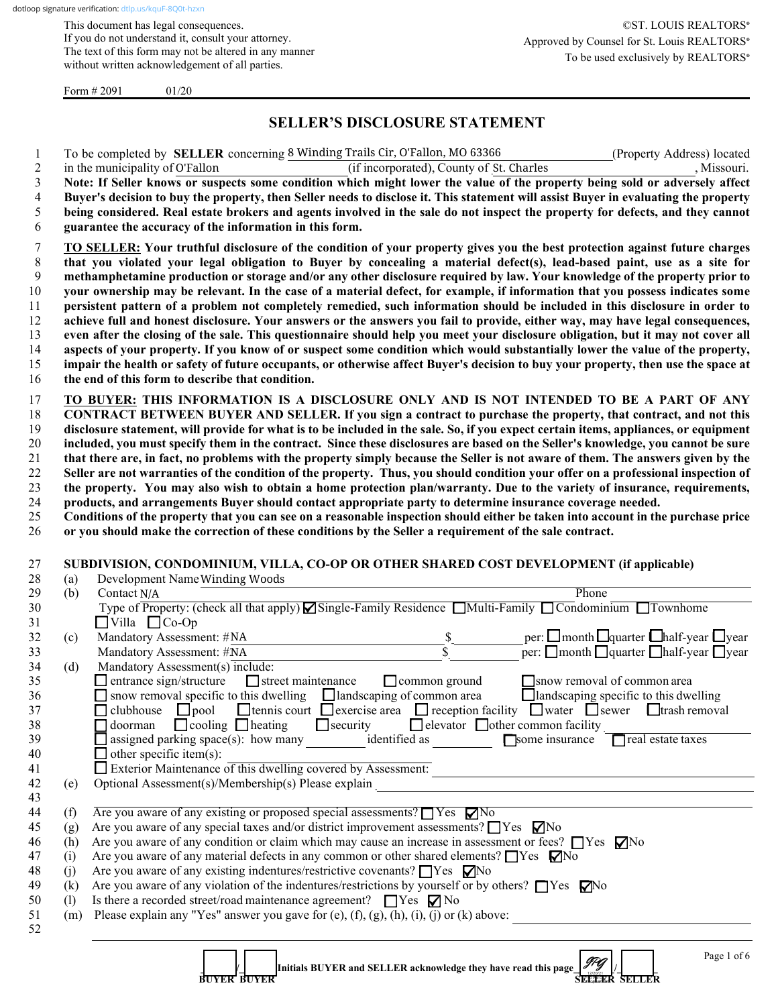This document has legal consequences. If you do not understand it, consult your attorney. The text of this form may not be altered in any manner without written acknowledgement of all parties.

Form  $\# 2091$  01/20

# **SELLER'S DISCLOSURE STATEMENT**

|     | To be completed by <b>SELLER</b> concerning 8 Winding Trails Cir, O'Fallon, MO 63366<br>(Property Address) located                                                                                                       |
|-----|--------------------------------------------------------------------------------------------------------------------------------------------------------------------------------------------------------------------------|
|     | in the municipality of O'Fallon<br>(if incorporated), County of St. Charles<br>, Missouri.                                                                                                                               |
|     | Note: If Seller knows or suspects some condition which might lower the value of the property being sold or adversely affect                                                                                              |
|     | Buyer's decision to buy the property, then Seller needs to disclose it. This statement will assist Buyer in evaluating the property                                                                                      |
|     | being considered. Real estate brokers and agents involved in the sale do not inspect the property for defects, and they cannot                                                                                           |
|     | guarantee the accuracy of the information in this form.                                                                                                                                                                  |
|     | TO SELLER: Your truthful disclosure of the condition of your property gives you the best protection against future charges                                                                                               |
|     | that you violated your legal obligation to Buyer by concealing a material defect(s), lead-based paint, use as a site for                                                                                                 |
|     | methamphetamine production or storage and/or any other disclosure required by law. Your knowledge of the property prior to                                                                                               |
|     | your ownership may be relevant. In the case of a material defect, for example, if information that you possess indicates some                                                                                            |
|     | persistent pattern of a problem not completely remedied, such information should be included in this disclosure in order to                                                                                              |
|     | achieve full and honest disclosure. Your answers or the answers you fail to provide, either way, may have legal consequences,                                                                                            |
|     | even after the closing of the sale. This questionnaire should help you meet your disclosure obligation, but it may not cover all                                                                                         |
|     | aspects of your property. If you know of or suspect some condition which would substantially lower the value of the property,                                                                                            |
|     | impair the health or safety of future occupants, or otherwise affect Buyer's decision to buy your property, then use the space at                                                                                        |
|     | the end of this form to describe that condition.                                                                                                                                                                         |
|     | TO BUYER: THIS INFORMATION IS A DISCLOSURE ONLY AND IS NOT INTENDED TO BE A PART OF ANY                                                                                                                                  |
|     | CONTRACT BETWEEN BUYER AND SELLER. If you sign a contract to purchase the property, that contract, and not this                                                                                                          |
|     | disclosure statement, will provide for what is to be included in the sale. So, if you expect certain items, appliances, or equipment                                                                                     |
|     | included, you must specify them in the contract. Since these disclosures are based on the Seller's knowledge, you cannot be sure                                                                                         |
|     | that there are, in fact, no problems with the property simply because the Seller is not aware of them. The answers given by the                                                                                          |
|     | Seller are not warranties of the condition of the property. Thus, you should condition your offer on a professional inspection of                                                                                        |
|     | the property. You may also wish to obtain a home protection plan/warranty. Due to the variety of insurance, requirements,                                                                                                |
|     | products, and arrangements Buyer should contact appropriate party to determine insurance coverage needed.                                                                                                                |
|     | Conditions of the property that you can see on a reasonable inspection should either be taken into account in the purchase price                                                                                         |
|     | or you should make the correction of these conditions by the Seller a requirement of the sale contract.                                                                                                                  |
|     |                                                                                                                                                                                                                          |
|     | SUBDIVISION, CONDOMINIUM, VILLA, CO-OP OR OTHER SHARED COST DEVELOPMENT (if applicable)                                                                                                                                  |
| (a) | Development Name Winding Woods                                                                                                                                                                                           |
| (b) | Phone<br>Contact N/A                                                                                                                                                                                                     |
|     | Type of Property: (check all that apply) Single-Family Residence Multi-Family Condominium Townhome                                                                                                                       |
|     | $\Box$ Villa $\Box$ Co-Op                                                                                                                                                                                                |
| (c) | Mandatory Assessment: #NA                                                                                                                                                                                                |
|     | per: $\square$ month $\square$ quarter $\square$ half-year $\square$ year<br>per: $\square$ month $\square$ quarter $\square$ half-year $\square$ year<br>$\frac{\mathcal{S}}{\mathcal{S}}$<br>Mandatory Assessment: #NA |
| (d) | Mandatory Assessment(s) include:                                                                                                                                                                                         |
|     | $\Box$ entrance sign/structure<br>$\Box$ street maintenance<br>$\Box$ common ground<br>$\Box$ snow removal of common area                                                                                                |
|     | $\Box$ snow removal specific to this dwelling $\Box$ landscaping of common area<br>$\Box$ landscaping specific to this dwelling                                                                                          |
|     | <b>O</b> tennis court $\Box$ exercise area $\Box$ reception facility $\Box$ water $\Box$ sewer $\Box$ trash removal<br>$\Box$ clubhouse $\Box$ pool                                                                      |
|     | $\Box$ doorman $\Box$ cooling $\Box$ heating<br>$\Box$ security<br>□ elevator □ other common facility                                                                                                                    |
|     | $\Box$ assigned parking space(s): how many identified as<br>Some insurance<br>$\Box$ real estate taxes                                                                                                                   |
|     | $\Box$ other specific item(s):                                                                                                                                                                                           |
|     | Exterior Maintenance of this dwelling covered by Assessment:<br><u> 1989 - Johann Barn, mars ann an t-Amhain Aonaich an t-Aonaich an t-Aonaich ann an t-Aonaich an t-Aonaich ann </u>                                    |
| (e) | Optional Assessment(s)/Membership(s) Please explain<br><u> 1989 - Johann Stoff, deutscher Stoff, der Stoff, der Stoff, der Stoff, der Stoff, der Stoff, der Stoff, der S</u>                                             |
|     |                                                                                                                                                                                                                          |
| (f) | Are you aware of any existing or proposed special assessments? $\Box$ Yes $\nabla$ No                                                                                                                                    |
| (g) | Are you aware of any special taxes and/or district improvement assessments? $\Box$ Yes $\nabla$ No                                                                                                                       |
| (h) | Are you aware of any condition or claim which may cause an increase in assessment or fees? $\Box$ Yes $\nabla$ No                                                                                                        |
| (i) | Are you aware of any material defects in any common or other shared elements? $\Box$ Yes $\Box$ No                                                                                                                       |
| (j) | Are you aware of any existing indentures/restrictive covenants? □ Yes □ No                                                                                                                                               |
| (k) | Are you aware of any violation of the indentures/restrictions by yourself or by others? $\Box$ Yes $\Box$ Yo                                                                                                             |
| (1) | Is there a recorded street/road maintenance agreement? $\Box$ Yes $\nabla$ No                                                                                                                                            |
| (m) | Please explain any "Yes" answer you gave for (e), $(f)$ , $(g)$ , $(h)$ , $(i)$ , $(j)$ or $(k)$ above:                                                                                                                  |
|     |                                                                                                                                                                                                                          |
|     |                                                                                                                                                                                                                          |
|     | Page 1 of 6<br>JPG<br>Initials BUYER and SELLER acknowledge they have read this page                                                                                                                                     |
|     | <b>SEELER SELLER</b><br>BUYER BUYER                                                                                                                                                                                      |

 **BUYER BUYER SELLER SELLER**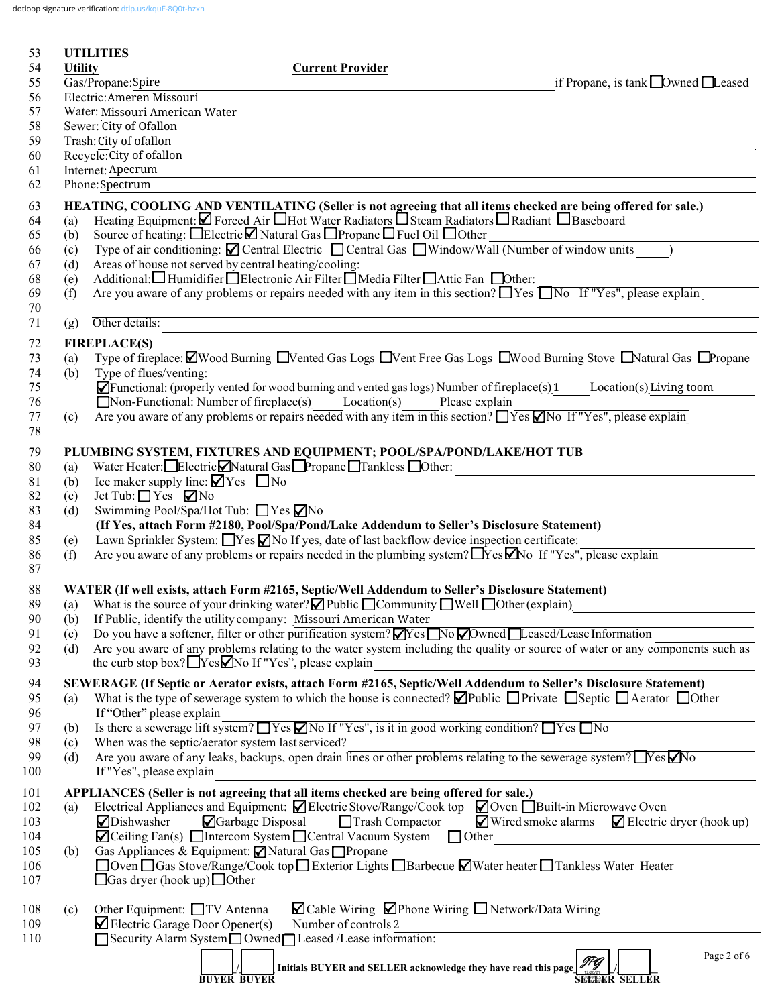dotloop signature verification: [dtlp.us/kquF-8Q0t-hzxn](https://dtlp.us/kquF-8Q0t-hzxn)

| 53         |                                      | <b>UTILITIES</b>                                                                                                                                                                                                                               |  |  |  |  |  |  |  |
|------------|--------------------------------------|------------------------------------------------------------------------------------------------------------------------------------------------------------------------------------------------------------------------------------------------|--|--|--|--|--|--|--|
| 54<br>55   | <b>Utility</b>                       | <b>Current Provider</b><br>Gas/Propane:Spire<br>if Propane, is tank $\Box$ Owned $\Box$ Leased                                                                                                                                                 |  |  |  |  |  |  |  |
| 56         | Electric: Ameren Missouri            |                                                                                                                                                                                                                                                |  |  |  |  |  |  |  |
| 57         | Water: Missouri American Water       |                                                                                                                                                                                                                                                |  |  |  |  |  |  |  |
| 58         | Sewer: City of Ofallon               |                                                                                                                                                                                                                                                |  |  |  |  |  |  |  |
| 59         |                                      | Trash: City of ofallon                                                                                                                                                                                                                         |  |  |  |  |  |  |  |
| 60         |                                      | Recycle: City of ofallon                                                                                                                                                                                                                       |  |  |  |  |  |  |  |
| 61<br>62   | Internet: Apecrum<br>Phone: Spectrum |                                                                                                                                                                                                                                                |  |  |  |  |  |  |  |
| 63         |                                      | HEATING, COOLING AND VENTILATING (Seller is not agreeing that all items checked are being offered for sale.)                                                                                                                                   |  |  |  |  |  |  |  |
| 64         | (a)                                  | Heating Equipment: $\Box$ Forced Air $\Box$ Hot Water Radiators $\Box$ Steam Radiators $\Box$ Radiant $\Box$ Baseboard                                                                                                                         |  |  |  |  |  |  |  |
| 65         | (b)                                  | Source of heating: □Electric□ Natural Gas □ Propane □ Fuel Oil □ Other                                                                                                                                                                         |  |  |  |  |  |  |  |
| 66         | (c)                                  | Type of air conditioning: $\blacksquare$ Central Electric $\blacksquare$ Central Gas $\blacksquare$ Window/Wall (Number of window units )                                                                                                      |  |  |  |  |  |  |  |
| 67         | (d)                                  | Areas of house not served by central heating/cooling:                                                                                                                                                                                          |  |  |  |  |  |  |  |
| 68<br>69   | (e)                                  | Additional: Humidifier Blectronic Air Filter Media Filter Attic Fan Dother:<br>Are you aware of any problems or repairs needed with any item in this section? Nes No If "Yes", please explain                                                  |  |  |  |  |  |  |  |
| 70         | (f)                                  |                                                                                                                                                                                                                                                |  |  |  |  |  |  |  |
| 71         | (g)                                  | Other details:                                                                                                                                                                                                                                 |  |  |  |  |  |  |  |
| 72         |                                      | <b>FIREPLACE(S)</b>                                                                                                                                                                                                                            |  |  |  |  |  |  |  |
| 73         | (a)                                  | Type of fireplace: $\Box$ Wood Burning $\Box$ Vented Gas Logs $\Box$ Vent Free Gas Logs $\Box$ Wood Burning Stove $\Box$ Natural Gas $\Box$ Propane                                                                                            |  |  |  |  |  |  |  |
| 74         | (b)                                  | Type of flues/venting:                                                                                                                                                                                                                         |  |  |  |  |  |  |  |
| 75         |                                      | $\blacksquare$ Functional: (properly vented for wood burning and vented gas logs) Number of fireplace(s) 1<br>Location(s) Living toom                                                                                                          |  |  |  |  |  |  |  |
| 76         |                                      | $\Box$ Non-Functional: Number of fireplace(s) Location(s) Please explain                                                                                                                                                                       |  |  |  |  |  |  |  |
| 77<br>78   | (c)                                  | Are you aware of any problems or repairs needed with any item in this section? $\Box$ Yes $\Box$ No If "Yes", please explain                                                                                                                   |  |  |  |  |  |  |  |
| 79         |                                      | PLUMBING SYSTEM, FIXTURES AND EQUIPMENT; POOL/SPA/POND/LAKE/HOT TUB                                                                                                                                                                            |  |  |  |  |  |  |  |
| 80         | (a)                                  | Water Heater: Electric Natural Gas Propane Tankless Other:                                                                                                                                                                                     |  |  |  |  |  |  |  |
| 81         | (b)                                  | Ice maker supply line: $\blacktriangledown$ Yes $\Box$ No                                                                                                                                                                                      |  |  |  |  |  |  |  |
| 82         | (c)                                  | Jet Tub: $\Box$ Yes $\Box$ No                                                                                                                                                                                                                  |  |  |  |  |  |  |  |
| 83         | (d)                                  | Swimming Pool/Spa/Hot Tub: ■ Yes ØNo                                                                                                                                                                                                           |  |  |  |  |  |  |  |
| 84         |                                      | (If Yes, attach Form #2180, Pool/Spa/Pond/Lake Addendum to Seller's Disclosure Statement)                                                                                                                                                      |  |  |  |  |  |  |  |
| 85         | (e)                                  | Lawn Sprinkler System: $\Box$ Yes $\Box$ No If yes, date of last backflow device inspection certificate:                                                                                                                                       |  |  |  |  |  |  |  |
| 86<br>87   | (f)                                  | Are you aware of any problems or repairs needed in the plumbing system? $\Box$ Yes $\Box$ No If "Yes", please explain                                                                                                                          |  |  |  |  |  |  |  |
| 88         |                                      | WATER (If well exists, attach Form #2165, Septic/Well Addendum to Seller's Disclosure Statement)                                                                                                                                               |  |  |  |  |  |  |  |
| 89         | (a)                                  | What is the source of your drinking water? $\Box$ Public $\Box$ Community $\Box$ Well $\Box$ Other (explain)                                                                                                                                   |  |  |  |  |  |  |  |
| 90         | (b)                                  | If Public, identify the utility company: Missouri American Water                                                                                                                                                                               |  |  |  |  |  |  |  |
| 91         | (c)                                  | Do you have a softener, filter or other purification system? $\blacksquare$ Yes $\blacksquare$ No $\blacksquare$ Downed $\blacksquare$ Leased/Lease Information                                                                                |  |  |  |  |  |  |  |
| 92         | (d)                                  | Are you aware of any problems relating to the water system including the quality or source of water or any components such as                                                                                                                  |  |  |  |  |  |  |  |
| 93         |                                      | the curb stop box? $\Box$ Yes $\Box$ No If "Yes", please explain                                                                                                                                                                               |  |  |  |  |  |  |  |
| 94         |                                      | SEWERAGE (If Septic or Aerator exists, attach Form #2165, Septic/Well Addendum to Seller's Disclosure Statement)                                                                                                                               |  |  |  |  |  |  |  |
| 95         | (a)                                  | What is the type of sewerage system to which the house is connected? $\Box$ Public $\Box$ Private $\Box$ Septic $\Box$ Aerator $\Box$ Other                                                                                                    |  |  |  |  |  |  |  |
| 96         |                                      | If "Other" please explain<br>Is there a sewerage lift system? $\Box$ Yes $\Box$ No If "Yes", is it in good working condition? $\Box$ Yes $\Box$ No                                                                                             |  |  |  |  |  |  |  |
| 97<br>98   | (b)<br>(c)                           | When was the septic/aerator system last serviced?                                                                                                                                                                                              |  |  |  |  |  |  |  |
| 99         | (d)                                  | Are you aware of any leaks, backups, open drain lines or other problems relating to the sewerage system? TYes Mo                                                                                                                               |  |  |  |  |  |  |  |
| 100        |                                      | If "Yes", please explain                                                                                                                                                                                                                       |  |  |  |  |  |  |  |
| 101        |                                      | APPLIANCES (Seller is not agreeing that all items checked are being offered for sale.)                                                                                                                                                         |  |  |  |  |  |  |  |
| 102        | (a)                                  | Electrical Appliances and Equipment: Ø Electric Stove/Range/Cook top Ø Oven DBuilt-in Microwave Oven                                                                                                                                           |  |  |  |  |  |  |  |
| 103        |                                      | ■ Wired smoke alarms<br><b>□</b> Garbage Disposal<br>Trash Compactor<br>$\blacktriangleright$ Electric dryer (hook up)<br><b>○</b> Dishwasher                                                                                                  |  |  |  |  |  |  |  |
| 104        |                                      | $\blacksquare$ Ceiling Fan(s) $\blacksquare$ Intercom System $\blacksquare$ Central Vacuum System $\blacksquare$ Other<br><u> 1989 - Jan Stein Stein Stein Stein Stein Stein Stein Stein Stein Stein Stein Stein Stein Stein Stein Stein S</u> |  |  |  |  |  |  |  |
| 105        | (b)                                  | Gas Appliances & Equipment: ⊠ Natural Gas □ Propane                                                                                                                                                                                            |  |  |  |  |  |  |  |
| 106<br>107 |                                      | □ Oven □ Gas Stove/Range/Cook top □ Exterior Lights □ Barbecue ■ Water heater □ Tankless Water Heater<br>$\Box$ Gas dryer (hook up) $\Box$ Other                                                                                               |  |  |  |  |  |  |  |
|            |                                      |                                                                                                                                                                                                                                                |  |  |  |  |  |  |  |
| 108        | (c)                                  | ⊠ Cable Wiring ⊠Phone Wiring Network/Data Wiring<br>Other Equipment: □TV Antenna                                                                                                                                                               |  |  |  |  |  |  |  |
| 109        |                                      | $\blacktriangleright$ Electric Garage Door Opener(s)<br>Number of controls 2                                                                                                                                                                   |  |  |  |  |  |  |  |
| 110        |                                      | Security Alarm System Owned Leased /Lease information:                                                                                                                                                                                         |  |  |  |  |  |  |  |
|            |                                      | Page 2 of 6<br>Initials BUYER and SELLER acknowledge they have read this page 77                                                                                                                                                               |  |  |  |  |  |  |  |
|            |                                      | <b>SEEEER SELLER</b><br><b>BUYER BUYER</b>                                                                                                                                                                                                     |  |  |  |  |  |  |  |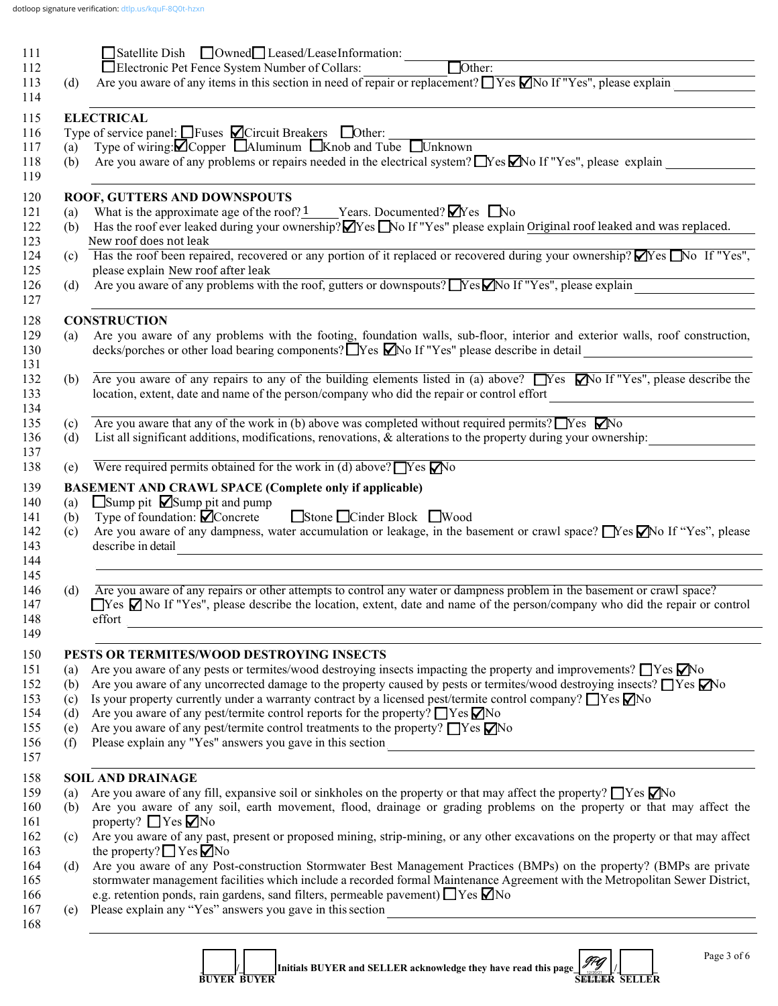| $\Box$ Other:<br>Electronic Pet Fence System Number of Collars:<br>Are you aware of any items in this section in need of repair or replacement? $\Box$ Yes $\Box$ No If "Yes", please explain<br><b>ELECTRICAL</b><br>Type of service panel: $\Box$ Fuses $\Box$ Circuit Breakers $\Box$ Other:<br>Type of wiring: $\blacksquare$ Copper $\blacksquare$ Aluminum $\blacksquare$ Knob and Tube $\blacksquare$ Unknown<br>Are you aware of any problems or repairs needed in the electrical system? Nes Mo If "Yes", please explain<br>ROOF, GUTTERS AND DOWNSPOUTS<br>What is the approximate age of the roof? 1 Years. Documented? $\blacksquare$ Yes $\blacksquare$ No<br>Has the roof ever leaked during your ownership? <b>N</b> Yes No If "Yes" please explain Original roof leaked and was replaced.<br>New roof does not leak<br>Has the roof been repaired, recovered or any portion of it replaced or recovered during your ownership? Yes No If "Yes",<br>please explain New roof after leak<br>Are you aware of any problems with the roof, gutters or downspouts? Nes Mo If "Yes", please explain |
|--------------------------------------------------------------------------------------------------------------------------------------------------------------------------------------------------------------------------------------------------------------------------------------------------------------------------------------------------------------------------------------------------------------------------------------------------------------------------------------------------------------------------------------------------------------------------------------------------------------------------------------------------------------------------------------------------------------------------------------------------------------------------------------------------------------------------------------------------------------------------------------------------------------------------------------------------------------------------------------------------------------------------------------------------------------------------------------------------------------|
|                                                                                                                                                                                                                                                                                                                                                                                                                                                                                                                                                                                                                                                                                                                                                                                                                                                                                                                                                                                                                                                                                                              |
|                                                                                                                                                                                                                                                                                                                                                                                                                                                                                                                                                                                                                                                                                                                                                                                                                                                                                                                                                                                                                                                                                                              |
|                                                                                                                                                                                                                                                                                                                                                                                                                                                                                                                                                                                                                                                                                                                                                                                                                                                                                                                                                                                                                                                                                                              |
|                                                                                                                                                                                                                                                                                                                                                                                                                                                                                                                                                                                                                                                                                                                                                                                                                                                                                                                                                                                                                                                                                                              |
|                                                                                                                                                                                                                                                                                                                                                                                                                                                                                                                                                                                                                                                                                                                                                                                                                                                                                                                                                                                                                                                                                                              |
|                                                                                                                                                                                                                                                                                                                                                                                                                                                                                                                                                                                                                                                                                                                                                                                                                                                                                                                                                                                                                                                                                                              |
|                                                                                                                                                                                                                                                                                                                                                                                                                                                                                                                                                                                                                                                                                                                                                                                                                                                                                                                                                                                                                                                                                                              |
|                                                                                                                                                                                                                                                                                                                                                                                                                                                                                                                                                                                                                                                                                                                                                                                                                                                                                                                                                                                                                                                                                                              |
|                                                                                                                                                                                                                                                                                                                                                                                                                                                                                                                                                                                                                                                                                                                                                                                                                                                                                                                                                                                                                                                                                                              |
|                                                                                                                                                                                                                                                                                                                                                                                                                                                                                                                                                                                                                                                                                                                                                                                                                                                                                                                                                                                                                                                                                                              |
|                                                                                                                                                                                                                                                                                                                                                                                                                                                                                                                                                                                                                                                                                                                                                                                                                                                                                                                                                                                                                                                                                                              |
|                                                                                                                                                                                                                                                                                                                                                                                                                                                                                                                                                                                                                                                                                                                                                                                                                                                                                                                                                                                                                                                                                                              |
|                                                                                                                                                                                                                                                                                                                                                                                                                                                                                                                                                                                                                                                                                                                                                                                                                                                                                                                                                                                                                                                                                                              |
|                                                                                                                                                                                                                                                                                                                                                                                                                                                                                                                                                                                                                                                                                                                                                                                                                                                                                                                                                                                                                                                                                                              |
| <b>CONSTRUCTION</b>                                                                                                                                                                                                                                                                                                                                                                                                                                                                                                                                                                                                                                                                                                                                                                                                                                                                                                                                                                                                                                                                                          |
|                                                                                                                                                                                                                                                                                                                                                                                                                                                                                                                                                                                                                                                                                                                                                                                                                                                                                                                                                                                                                                                                                                              |
| Are you aware of any problems with the footing, foundation walls, sub-floor, interior and exterior walls, roof construction,<br>decks/porches or other load bearing components? TYes MNo If "Yes" please describe in detail __________________                                                                                                                                                                                                                                                                                                                                                                                                                                                                                                                                                                                                                                                                                                                                                                                                                                                               |
| Are you aware of any repairs to any of the building elements listed in (a) above? $\Box$ Yes $\Box$ No If "Yes", please describe the                                                                                                                                                                                                                                                                                                                                                                                                                                                                                                                                                                                                                                                                                                                                                                                                                                                                                                                                                                         |
| location, extent, date and name of the person/company who did the repair or control effort<br><u> 1980 - Andrea Station Barbara, amerikan personal (h. 1980).</u>                                                                                                                                                                                                                                                                                                                                                                                                                                                                                                                                                                                                                                                                                                                                                                                                                                                                                                                                            |
|                                                                                                                                                                                                                                                                                                                                                                                                                                                                                                                                                                                                                                                                                                                                                                                                                                                                                                                                                                                                                                                                                                              |
| Are you aware that any of the work in (b) above was completed without required permits? $\Box$ Yes $\Box$ No                                                                                                                                                                                                                                                                                                                                                                                                                                                                                                                                                                                                                                                                                                                                                                                                                                                                                                                                                                                                 |
| List all significant additions, modifications, renovations, & alterations to the property during your ownership:                                                                                                                                                                                                                                                                                                                                                                                                                                                                                                                                                                                                                                                                                                                                                                                                                                                                                                                                                                                             |
| Were required permits obtained for the work in (d) above? $\Box$ Yes $\Box$ No                                                                                                                                                                                                                                                                                                                                                                                                                                                                                                                                                                                                                                                                                                                                                                                                                                                                                                                                                                                                                               |
| <b>BASEMENT AND CRAWL SPACE (Complete only if applicable)</b>                                                                                                                                                                                                                                                                                                                                                                                                                                                                                                                                                                                                                                                                                                                                                                                                                                                                                                                                                                                                                                                |
| $\Box$ Sump pit $\Box$ Sump pit and pump                                                                                                                                                                                                                                                                                                                                                                                                                                                                                                                                                                                                                                                                                                                                                                                                                                                                                                                                                                                                                                                                     |
| Stone Cinder Block Wood<br>Type of foundation: $\blacksquare$ Concrete                                                                                                                                                                                                                                                                                                                                                                                                                                                                                                                                                                                                                                                                                                                                                                                                                                                                                                                                                                                                                                       |
| Are you aware of any dampness, water accumulation or leakage, in the basement or crawl space? No If "Yes", please                                                                                                                                                                                                                                                                                                                                                                                                                                                                                                                                                                                                                                                                                                                                                                                                                                                                                                                                                                                            |
| describe in detail                                                                                                                                                                                                                                                                                                                                                                                                                                                                                                                                                                                                                                                                                                                                                                                                                                                                                                                                                                                                                                                                                           |
|                                                                                                                                                                                                                                                                                                                                                                                                                                                                                                                                                                                                                                                                                                                                                                                                                                                                                                                                                                                                                                                                                                              |
|                                                                                                                                                                                                                                                                                                                                                                                                                                                                                                                                                                                                                                                                                                                                                                                                                                                                                                                                                                                                                                                                                                              |
| Are you aware of any repairs or other attempts to control any water or dampness problem in the basement or crawl space?                                                                                                                                                                                                                                                                                                                                                                                                                                                                                                                                                                                                                                                                                                                                                                                                                                                                                                                                                                                      |
| $\Box$ Yes $\Box$ No If "Yes", please describe the location, extent, date and name of the person/company who did the repair or control                                                                                                                                                                                                                                                                                                                                                                                                                                                                                                                                                                                                                                                                                                                                                                                                                                                                                                                                                                       |
| effort <b>contract the contract of the contract of the contract of the contract of the contract of the contract of the contract of the contract of the contract of the contract of the contract of the contract of the contract </b>                                                                                                                                                                                                                                                                                                                                                                                                                                                                                                                                                                                                                                                                                                                                                                                                                                                                         |
|                                                                                                                                                                                                                                                                                                                                                                                                                                                                                                                                                                                                                                                                                                                                                                                                                                                                                                                                                                                                                                                                                                              |
| PESTS OR TERMITES/WOOD DESTROYING INSECTS<br>Are you aware of any pests or termites/wood destroying insects impacting the property and improvements? $\Box$ Yes $\Box$ No                                                                                                                                                                                                                                                                                                                                                                                                                                                                                                                                                                                                                                                                                                                                                                                                                                                                                                                                    |
| Are you aware of any uncorrected damage to the property caused by pests or termites/wood destroying insects? $\Box$ Yes $\Box$ No                                                                                                                                                                                                                                                                                                                                                                                                                                                                                                                                                                                                                                                                                                                                                                                                                                                                                                                                                                            |
| Is your property currently under a warranty contract by a licensed pest/termite control company? $\Box$ Yes $\Box$ No                                                                                                                                                                                                                                                                                                                                                                                                                                                                                                                                                                                                                                                                                                                                                                                                                                                                                                                                                                                        |
| Are you aware of any pest/termite control reports for the property? $\Box$ Yes $\nabla$ No                                                                                                                                                                                                                                                                                                                                                                                                                                                                                                                                                                                                                                                                                                                                                                                                                                                                                                                                                                                                                   |
| Are you aware of any pest/termite control treatments to the property? $\Box$ Yes $\nabla$ No                                                                                                                                                                                                                                                                                                                                                                                                                                                                                                                                                                                                                                                                                                                                                                                                                                                                                                                                                                                                                 |
|                                                                                                                                                                                                                                                                                                                                                                                                                                                                                                                                                                                                                                                                                                                                                                                                                                                                                                                                                                                                                                                                                                              |
|                                                                                                                                                                                                                                                                                                                                                                                                                                                                                                                                                                                                                                                                                                                                                                                                                                                                                                                                                                                                                                                                                                              |
| <b>SOIL AND DRAINAGE</b>                                                                                                                                                                                                                                                                                                                                                                                                                                                                                                                                                                                                                                                                                                                                                                                                                                                                                                                                                                                                                                                                                     |
| Are you aware of any fill, expansive soil or sinkholes on the property or that may affect the property? $\Box$ Yes $\Box$ No                                                                                                                                                                                                                                                                                                                                                                                                                                                                                                                                                                                                                                                                                                                                                                                                                                                                                                                                                                                 |
| Are you aware of any soil, earth movement, flood, drainage or grading problems on the property or that may affect the                                                                                                                                                                                                                                                                                                                                                                                                                                                                                                                                                                                                                                                                                                                                                                                                                                                                                                                                                                                        |
| property? $\Box$ Yes $\nabla$ No                                                                                                                                                                                                                                                                                                                                                                                                                                                                                                                                                                                                                                                                                                                                                                                                                                                                                                                                                                                                                                                                             |
| Are you aware of any past, present or proposed mining, strip-mining, or any other excavations on the property or that may affect                                                                                                                                                                                                                                                                                                                                                                                                                                                                                                                                                                                                                                                                                                                                                                                                                                                                                                                                                                             |
| the property? $\Box$ Yes $\Box$ No                                                                                                                                                                                                                                                                                                                                                                                                                                                                                                                                                                                                                                                                                                                                                                                                                                                                                                                                                                                                                                                                           |
| Are you aware of any Post-construction Stormwater Best Management Practices (BMPs) on the property? (BMPs are private                                                                                                                                                                                                                                                                                                                                                                                                                                                                                                                                                                                                                                                                                                                                                                                                                                                                                                                                                                                        |
| stormwater management facilities which include a recorded formal Maintenance Agreement with the Metropolitan Sewer District,                                                                                                                                                                                                                                                                                                                                                                                                                                                                                                                                                                                                                                                                                                                                                                                                                                                                                                                                                                                 |
| e.g. retention ponds, rain gardens, sand filters, permeable pavement) TYes Mo                                                                                                                                                                                                                                                                                                                                                                                                                                                                                                                                                                                                                                                                                                                                                                                                                                                                                                                                                                                                                                |
| Please explain any "Yes" answers you gave in this section<br><u> 1980 - Johann Barbara, martxa alemaniar arg</u>                                                                                                                                                                                                                                                                                                                                                                                                                                                                                                                                                                                                                                                                                                                                                                                                                                                                                                                                                                                             |
|                                                                                                                                                                                                                                                                                                                                                                                                                                                                                                                                                                                                                                                                                                                                                                                                                                                                                                                                                                                                                                                                                                              |

 $\frac{1}{2}$   $\frac{1}{2}$  Initials BUYER and SELLER acknowledge they have read this page  $\frac{1}{2}$  **BUYER BUYER SELLER SELLER** JPG 12/20/21 7:10 PM CST dotloop verified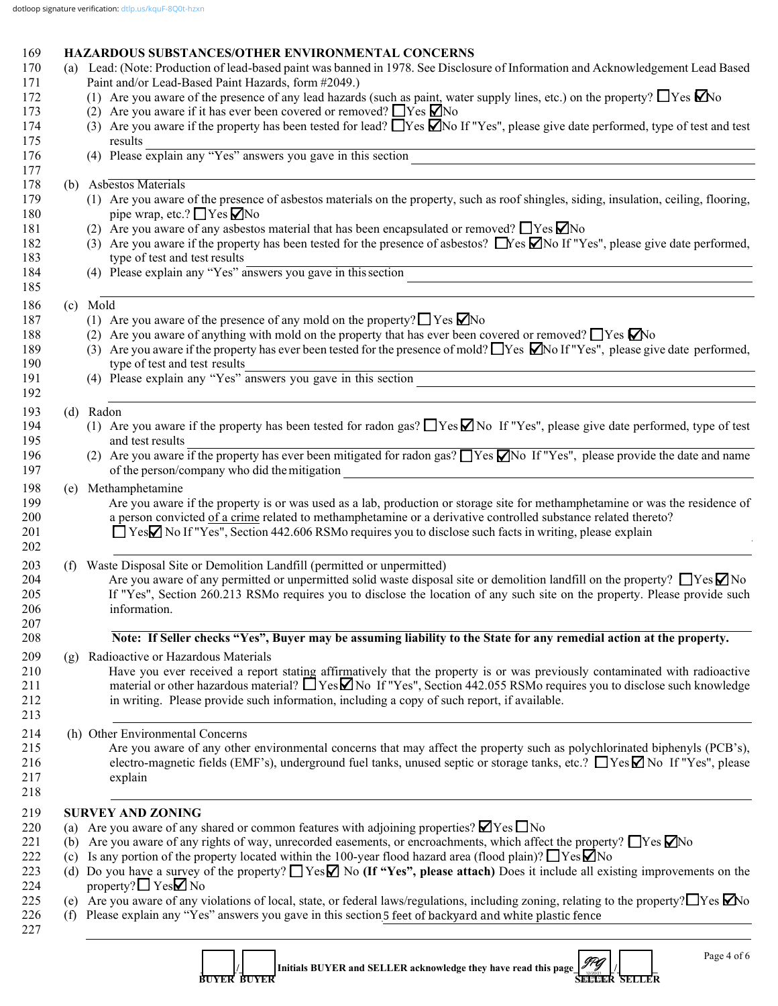#### 169 **HAZARDOUS SUBSTANCES/OTHER ENVIRONMENTAL CONCERNS** 170 (a) Lead: (Note: Production of lead-based paint was banned in 1978. See Disclosure of Information and Acknowledgement Lead Based

|     | Paint and/or Lead-Based Paint Hazards, form #2049.)<br>(1) Are you aware of the presence of any lead hazards (such as paint, water supply lines, etc.) on the property? $\Box$ Yes $\Box$ No<br>(2) Are you aware if it has ever been covered or removed? $\Box$ Yes $\Box$ No<br>(3) Are you aware if the property has been tested for lead? $\Box$ Yes $\Box$ No If "Yes", please give date performed, type of test and test<br>results<br>(4) Please explain any "Yes" answers you gave in this section<br>(b) Asbestos Materials<br>(1) Are you aware of the presence of asbestos materials on the property, such as roof shingles, siding, insulation, ceiling, flooring, |  |  |
|-----|--------------------------------------------------------------------------------------------------------------------------------------------------------------------------------------------------------------------------------------------------------------------------------------------------------------------------------------------------------------------------------------------------------------------------------------------------------------------------------------------------------------------------------------------------------------------------------------------------------------------------------------------------------------------------------|--|--|
|     |                                                                                                                                                                                                                                                                                                                                                                                                                                                                                                                                                                                                                                                                                |  |  |
|     |                                                                                                                                                                                                                                                                                                                                                                                                                                                                                                                                                                                                                                                                                |  |  |
|     |                                                                                                                                                                                                                                                                                                                                                                                                                                                                                                                                                                                                                                                                                |  |  |
|     |                                                                                                                                                                                                                                                                                                                                                                                                                                                                                                                                                                                                                                                                                |  |  |
|     |                                                                                                                                                                                                                                                                                                                                                                                                                                                                                                                                                                                                                                                                                |  |  |
|     | pipe wrap, etc.? $\Box$ Yes $\Box$ No                                                                                                                                                                                                                                                                                                                                                                                                                                                                                                                                                                                                                                          |  |  |
|     | (2) Are you aware of any asbestos material that has been encapsulated or removed? $\Box$ Yes $\nabla$ No                                                                                                                                                                                                                                                                                                                                                                                                                                                                                                                                                                       |  |  |
|     | (3) Are you aware if the property has been tested for the presence of asbestos? $\Box$ Yes $\Box$ No If "Yes", please give date performed,<br>type of test and test results                                                                                                                                                                                                                                                                                                                                                                                                                                                                                                    |  |  |
|     | (4) Please explain any "Yes" answers you gave in this section<br><u> 1989 - Johann Stoff, Amerikaansk politiker († 1908)</u>                                                                                                                                                                                                                                                                                                                                                                                                                                                                                                                                                   |  |  |
|     | (c) Mold                                                                                                                                                                                                                                                                                                                                                                                                                                                                                                                                                                                                                                                                       |  |  |
|     | (1) Are you aware of the presence of any mold on the property? $\Box$ Yes $\Box$ No                                                                                                                                                                                                                                                                                                                                                                                                                                                                                                                                                                                            |  |  |
|     | (2) Are you aware of anything with mold on the property that has ever been covered or removed? $\Box$ Yes $\Box$ No                                                                                                                                                                                                                                                                                                                                                                                                                                                                                                                                                            |  |  |
|     | (3) Are you aware if the property has ever been tested for the presence of mold? These $\Box$ No If "Yes", please give date performed,                                                                                                                                                                                                                                                                                                                                                                                                                                                                                                                                         |  |  |
|     | type of test and test results<br>(4) Please explain any "Yes" answers you gave in this section                                                                                                                                                                                                                                                                                                                                                                                                                                                                                                                                                                                 |  |  |
|     |                                                                                                                                                                                                                                                                                                                                                                                                                                                                                                                                                                                                                                                                                |  |  |
|     | (d) Radon                                                                                                                                                                                                                                                                                                                                                                                                                                                                                                                                                                                                                                                                      |  |  |
|     | (1) Are you aware if the property has been tested for radon gas? $\Box$ Yes $\Box$ No If "Yes", please give date performed, type of test                                                                                                                                                                                                                                                                                                                                                                                                                                                                                                                                       |  |  |
|     | and test results<br>(2) Are you aware if the property has ever been mitigated for radon gas? $\Box$ Yes $\Box$ No If "Yes", please provide the date and name                                                                                                                                                                                                                                                                                                                                                                                                                                                                                                                   |  |  |
|     | of the person/company who did the mitigation<br><u> 1980 - John Stein, mars and de Britain (b. 1980)</u>                                                                                                                                                                                                                                                                                                                                                                                                                                                                                                                                                                       |  |  |
| (e) | Methamphetamine                                                                                                                                                                                                                                                                                                                                                                                                                                                                                                                                                                                                                                                                |  |  |
|     | Are you aware if the property is or was used as a lab, production or storage site for methamphetamine or was the residence of<br>a person convicted of a crime related to methamphetamine or a derivative controlled substance related thereto?<br>□ YesØ No If "Yes", Section 442.606 RSMo requires you to disclose such facts in writing, please explain                                                                                                                                                                                                                                                                                                                     |  |  |
|     | (f) Waste Disposal Site or Demolition Landfill (permitted or unpermitted)                                                                                                                                                                                                                                                                                                                                                                                                                                                                                                                                                                                                      |  |  |
|     | Are you aware of any permitted or unpermitted solid waste disposal site or demolition landfill on the property? $\Box$ Yes $\Box$ No<br>If "Yes", Section 260.213 RSMo requires you to disclose the location of any such site on the property. Please provide such<br>information.                                                                                                                                                                                                                                                                                                                                                                                             |  |  |
|     | Note: If Seller checks "Yes", Buyer may be assuming liability to the State for any remedial action at the property.                                                                                                                                                                                                                                                                                                                                                                                                                                                                                                                                                            |  |  |
| (g) | Radioactive or Hazardous Materials                                                                                                                                                                                                                                                                                                                                                                                                                                                                                                                                                                                                                                             |  |  |
|     | Have you ever received a report stating affirmatively that the property is or was previously contaminated with radioactive<br>material or other hazardous material? $\Box$ Yes $\Box$ No If "Yes", Section 442.055 RSMo requires you to disclose such knowledge<br>in writing. Please provide such information, including a copy of such report, if available.                                                                                                                                                                                                                                                                                                                 |  |  |
|     | (h) Other Environmental Concerns                                                                                                                                                                                                                                                                                                                                                                                                                                                                                                                                                                                                                                               |  |  |
|     | Are you aware of any other environmental concerns that may affect the property such as polychlorinated biphenyls (PCB's),<br>electro-magnetic fields (EMF's), underground fuel tanks, unused septic or storage tanks, etc.? ■ Yes M No If "Yes", please<br>explain                                                                                                                                                                                                                                                                                                                                                                                                             |  |  |

 **BUYER BUYER SELLER SELLER**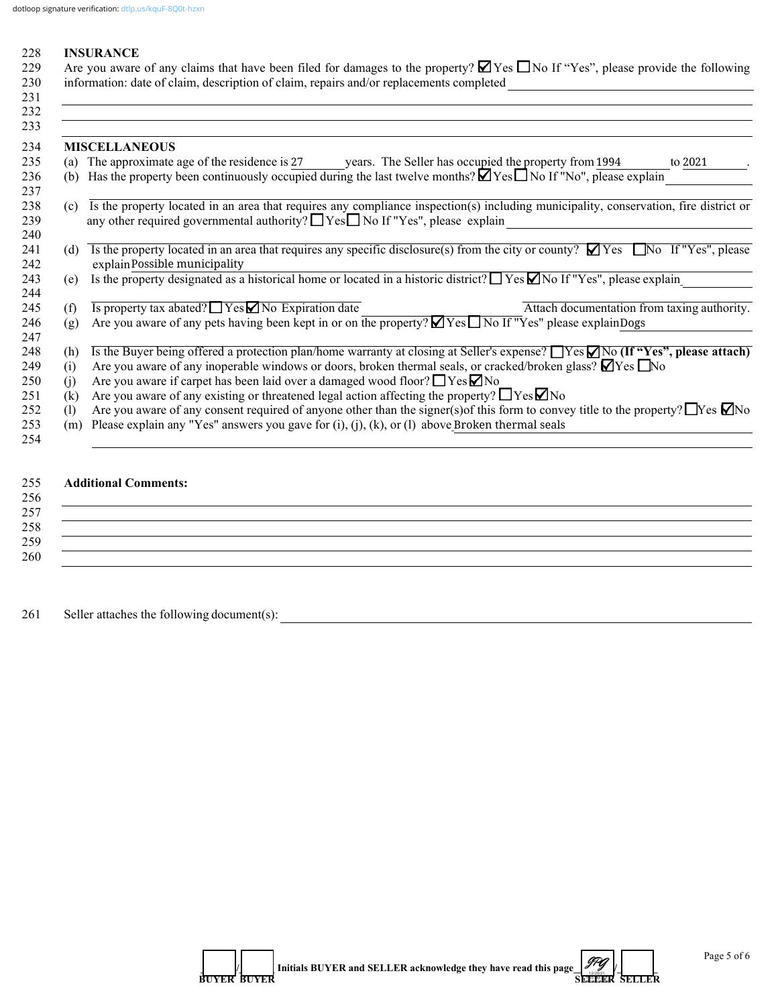| 228        |     | <b>INSURANCE</b>                                                                                                                            |  |  |  |  |  |  |
|------------|-----|---------------------------------------------------------------------------------------------------------------------------------------------|--|--|--|--|--|--|
| 229        |     | Are you aware of any claims that have been filed for damages to the property? $\Box$ Yes $\Box$ No If "Yes", please provide the following   |  |  |  |  |  |  |
| 230        |     | information: date of claim, description of claim, repairs and/or replacements completed                                                     |  |  |  |  |  |  |
| 231        |     |                                                                                                                                             |  |  |  |  |  |  |
| 232<br>233 |     |                                                                                                                                             |  |  |  |  |  |  |
| 234        |     | <b>MISCELLANEOUS</b>                                                                                                                        |  |  |  |  |  |  |
| 235        |     | (a) The approximate age of the residence is 27 years. The Seller has occupied the property from 1994<br>to 2021                             |  |  |  |  |  |  |
|            | (b) | Has the property been continuously occupied during the last twelve months? $\blacksquare$ Yes $\Box$ No If "No", please explain             |  |  |  |  |  |  |
|            |     |                                                                                                                                             |  |  |  |  |  |  |
|            | (c) | Is the property located in an area that requires any compliance inspection(s) including municipality, conservation, fire district or        |  |  |  |  |  |  |
|            |     | any other required governmental authority? Nes No If "Yes", please explain                                                                  |  |  |  |  |  |  |
|            |     |                                                                                                                                             |  |  |  |  |  |  |
|            | (d) | Is the property located in an area that requires any specific disclosure(s) from the city or county? $\Box$ Yes $\Box$ No If "Yes", please  |  |  |  |  |  |  |
|            |     | explain Possible municipality                                                                                                               |  |  |  |  |  |  |
|            | (e) | Is the property designated as a historical home or located in a historic district? $\Box$ Yes $\Box$ No If "Yes", please explain            |  |  |  |  |  |  |
|            |     |                                                                                                                                             |  |  |  |  |  |  |
|            | (f) | $\overline{Is$ property tax abated? $\Box$ Yes $\Box$ No Expiration date<br>Attach documentation from taxing authority.                     |  |  |  |  |  |  |
|            | (g) | Are you aware of any pets having been kept in or on the property? $\blacksquare$ Yes $\blacksquare$ No If "Yes" please explainDogs          |  |  |  |  |  |  |
|            |     |                                                                                                                                             |  |  |  |  |  |  |
|            | (h) | Is the Buyer being offered a protection plan/home warranty at closing at Seller's expense? TYes $\Box$ No (If "Yes", please attach)         |  |  |  |  |  |  |
|            | (i) | Are you aware of any inoperable windows or doors, broken thermal seals, or cracked/broken glass? $\Box$ Yes $\Box$ No                       |  |  |  |  |  |  |
|            | (1) | Are you aware if carpet has been laid over a damaged wood floor? $\Box$ Yes $\Box$ No                                                       |  |  |  |  |  |  |
|            | (k) | Are you aware of any existing or threatened legal action affecting the property? $\Box$ Yes $\Box$ No                                       |  |  |  |  |  |  |
|            | (1) | Are you aware of any consent required of anyone other than the signer(s) of this form to convey title to the property? $\Box$ Yes $\Box$ No |  |  |  |  |  |  |
|            | (m) | Please explain any "Yes" answers you gave for (i), (j), (k), or (l) above Broken thermal seals                                              |  |  |  |  |  |  |
|            |     |                                                                                                                                             |  |  |  |  |  |  |

## 255 **Additional Comments:**  $256$ 257  $\Box$  $258$  $259$   $\overline{\phantom{a}}$ 260 \_\_\_\_\_\_\_\_\_\_\_\_\_\_\_\_\_\_\_\_\_\_\_\_\_\_\_\_\_\_\_\_\_\_\_\_\_\_\_\_\_\_\_\_\_\_\_\_\_\_\_\_\_\_\_\_\_\_\_\_\_\_\_\_\_\_\_\_\_\_\_\_\_\_\_\_\_\_\_\_\_\_\_\_\_\_\_\_\_\_\_\_\_\_\_\_\_\_\_\_\_\_\_\_\_\_\_\_

261 Seller attaches the following document(s):